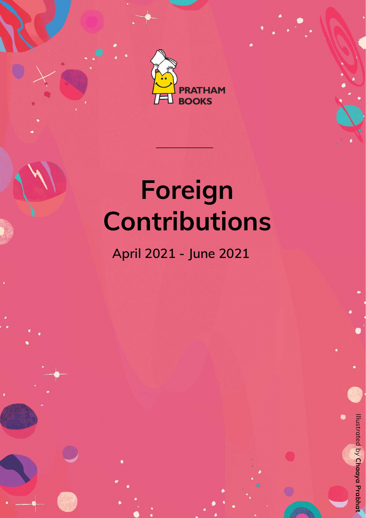



**April 2021 - June 2021** 

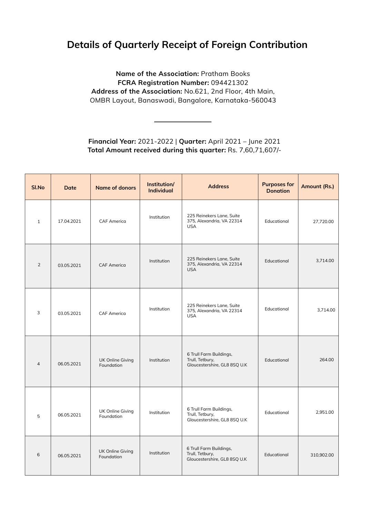## **Details of Quarterly Receipt of Foreign Contribution**

**Name of the Association:** Pratham Books **FCRA Registration Number:** 094421302 **Address of the Association:** No.621, 2nd Floor, 4th Main, OMBR Layout, Banaswadi, Bangalore, Karnataka-560043

**Financial Year:** 2021-2022 | **Quarter:** April 2021 – June 2021 **Total Amount received during this quarter:** Rs. 7,60,71,607/-

| <b>SI.No</b>   | Date       | <b>Name of donors</b>                 | Institution/<br><b>Individual</b> | <b>Address</b>                                                             | <b>Purposes for</b><br><b>Donation</b> | <b>Amount (Rs.)</b> |
|----------------|------------|---------------------------------------|-----------------------------------|----------------------------------------------------------------------------|----------------------------------------|---------------------|
|                | 17.04.2021 | <b>CAF America</b>                    | Institution                       | 225 Reinekers Lane, Suite<br>375, Alexandria, VA 22314<br><b>USA</b>       | Educational                            | 27,720.00           |
|                | 03.05.2021 | <b>CAF America</b>                    | Institution                       | 225 Reinekers Lane, Suite<br>375, Alexandria, VA 22314<br><b>USA</b>       | Educational                            | 3,714.00            |
| ာ              | 03.05.2021 | <b>CAF America</b>                    | Institution                       | 225 Reinekers Lane, Suite<br>375, Alexandria, VA 22314<br><b>USA</b>       | Educational                            | 3,714.00            |
| $\overline{4}$ | 06.05.2021 | <b>UK Online Giving</b><br>Foundation | Institution                       | 6 Trull Farm Buildings,<br>Trull, Tetbury,<br>Gloucestershire, GL8 8SQ U.K | Educational                            | 264.00              |
| 5              | 06.05.2021 | <b>UK Online Giving</b><br>Foundation | Institution                       | 6 Trull Farm Buildings,<br>Trull, Tetbury,<br>Gloucestershire, GL8 8SQ U.K | Educational                            | 2,951.00            |
| 6              | 06.05.2021 | <b>UK Online Giving</b><br>Foundation | Institution                       | 6 Trull Farm Buildings,<br>Trull, Tetbury,<br>Gloucestershire, GL8 8SQ U.K | Educational                            | 310,902.00          |